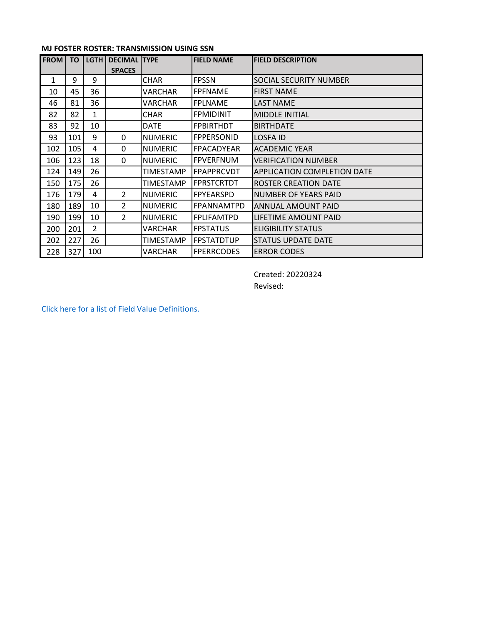## **MJ FOSTER ROSTER: TRANSMISSION USING SSN**

| <b>FROM</b>  | <b>TO</b> | <b>LGTH</b>    | <b>DECIMAL TYPE</b><br><b>SPACES</b> |                  | <b>FIELD NAME</b> | <b>FIELD DESCRIPTION</b>    |
|--------------|-----------|----------------|--------------------------------------|------------------|-------------------|-----------------------------|
| $\mathbf{1}$ | 9         | 9              |                                      | <b>CHAR</b>      | <b>FPSSN</b>      | SOCIAL SECURITY NUMBER      |
| 10           | 45        | 36             |                                      | VARCHAR          | <b>FPFNAME</b>    | <b>FIRST NAME</b>           |
| 46           | 81        | 36             |                                      | VARCHAR          | <b>FPLNAME</b>    | <b>LAST NAME</b>            |
| 82           | 82        | $\mathbf{1}$   |                                      | <b>CHAR</b>      | <b>FPMIDINIT</b>  | <b>MIDDLE INITIAL</b>       |
| 83           | 92        | 10             |                                      | <b>DATE</b>      | <b>FPBIRTHDT</b>  | <b>BIRTHDATE</b>            |
| 93           | 101       | 9              | 0                                    | <b>NUMERIC</b>   | <b>FPPERSONID</b> | <b>LOSFA ID</b>             |
| 102          | 105       | 4              | 0                                    | <b>NUMERIC</b>   | FPACADYEAR        | <b>ACADEMIC YEAR</b>        |
| 106          | 123       | 18             | 0                                    | <b>NUMERIC</b>   | <b>FPVERFNUM</b>  | <b>VERIFICATION NUMBER</b>  |
| 124          | 149       | 26             |                                      | <b>TIMESTAMP</b> | <b>FPAPPRCVDT</b> | APPLICATION COMPLETION DATE |
| 150          | 175       | 26             |                                      | <b>TIMESTAMP</b> | <b>FPRSTCRTDT</b> | <b>ROSTER CREATION DATE</b> |
| 176          | 179       | 4              | 2                                    | <b>NUMERIC</b>   | <b>FPYEARSPD</b>  | <b>NUMBER OF YEARS PAID</b> |
| 180          | 189       | 10             | 2                                    | <b>NUMERIC</b>   | FPANNAMTPD        | ANNUAL AMOUNT PAID          |
| 190          | 199       | 10             | $\overline{2}$                       | <b>NUMERIC</b>   | <b>FPLIFAMTPD</b> | LIFETIME AMOUNT PAID        |
| 200          | 201       | $\overline{2}$ |                                      | VARCHAR          | <b>FPSTATUS</b>   | <b>ELIGIBILITY STATUS</b>   |
| 202          | 227       | 26             |                                      | TIMESTAMP        | <b>FPSTATDTUP</b> | STATUS UPDATE DATE          |
| 228          | 327       | 100            |                                      | VARCHAR          | <b>FPERRCODES</b> | <b>ERROR CODES</b>          |

Created: 20220324 Revised:

[Click here for a list of Field Value Definitions.](https://mylosfa.la.gov/wp-content/uploads/Field_Value_Definitions.pdf)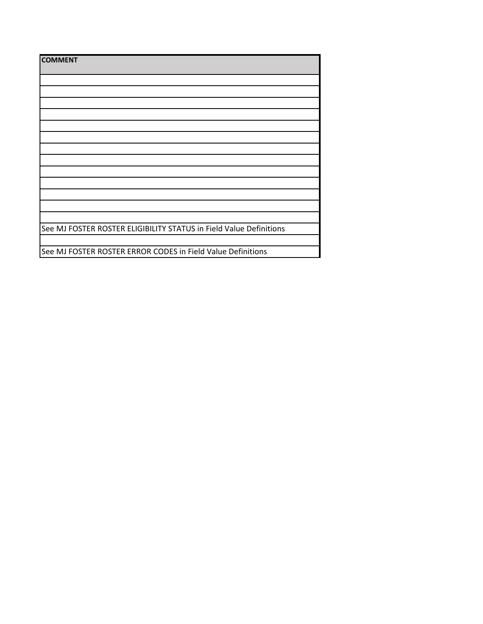| <b>COMMENT</b>                                                     |
|--------------------------------------------------------------------|
|                                                                    |
|                                                                    |
|                                                                    |
|                                                                    |
|                                                                    |
|                                                                    |
|                                                                    |
|                                                                    |
|                                                                    |
|                                                                    |
|                                                                    |
|                                                                    |
|                                                                    |
| See MJ FOSTER ROSTER ELIGIBILITY STATUS in Field Value Definitions |
|                                                                    |
| See MJ FOSTER ROSTER ERROR CODES in Field Value Definitions        |